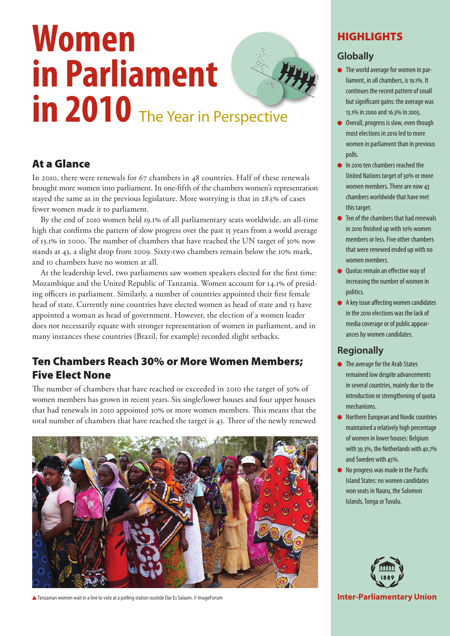# **Women in Parliament**  in 2010 The Year in Perspective

# At a Glance

In 2010, there were renewals for 67 chambers in 48 countries. Half of these renewals brought more women into parliament. In one-fifth of the chambers women's representation stayed the same as in the previous legislature. More worrying is that in 28.5% of cases fewer women made it to parliament.

By the end of 2010 women held 19.1% of all parliamentary seats worldwide, an all-time high that confirms the pattern of slow progress over the past 15 years from a world average of 13.1% in 2000. The number of chambers that have reached the UN target of 30% now stands at 43, a slight drop from 2009. Sixty-two chambers remain below the 10% mark, and 10 chambers have no women at all.

At the leadership level, two parliaments saw women speakers elected for the first time: Mozambique and the United Republic of Tanzania. Women account for 14.1% of presiding officers in parliament. Similarly, a number of countries appointed their first female head of state. Currently nine countries have elected women as head of state and 13 have appointed a woman as head of government. However, the election of a women leader does not necessarily equate with stronger representation of women in parliament, and in many instances these countries (Brazil, for example) recorded slight setbacks.

# Ten Chambers Reach 30% or More Women Members; Five Elect None

The number of chambers that have reached or exceeded in 2010 the target of 30% of women members has grown in recent years. Six single/lower houses and four upper houses that had renewals in 2010 appointed 30% or more women members. This means that the total number of chambers that have reached the target is 43. Three of the newly renewed



**▲** Tanzanian women wait in a line to vote at a polling station oustide Dar Es Salaam. © ImageForum **Inter-Parliamentary Union** 

# HIGHLIGHTS

## **Globally**

- The world average for women in parliament, in all chambers, is 19.1%. It continues the recent pattern of small but significant gains: the average was 13.1% in 2000 and 16.3% in 2005.
- Overall, progress is slow, even though most elections in 2010 led to more women in parliament than in previous polls.
- **In 2010 ten chambers reached the** United Nations target of 30% or more women members. There are now 43 chambers worldwide that have met this target.
- Ten of the chambers that had renewals in 2010 finished up with 10% women members or less. Five other chambers that were renewed ended up with no women members.
- Quotas remain an effective way of increasing the number of women in politics.
- A key issue affecting women candidates in the 2010 elections was the lack of media coverage or of public appearances by women candidates.

## **Regionally**

- The average for the Arab States remained low despite advancements in several countries, mainly due to the introduction or strengthening of quota mechanisms.
- **Northern European and Nordic countries** maintained a relatively high percentage of women in lower houses: Belgium with 39.3%, the Netherlands with 40.7% and Sweden with 45%.
- No progress was made in the Pacific Island States: no women candidates won seats in Nauru, the Solomon Islands, Tonga or Tuvalu.

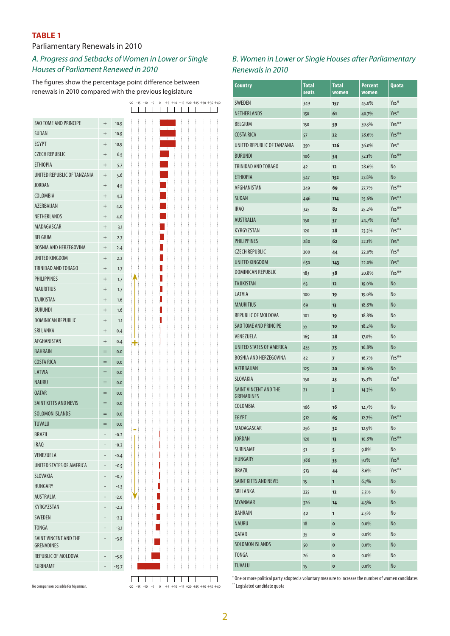#### **TABLE 1**

#### Parliamentary Renewals in 2010

#### *A. Progress and Setbacks of Women in Lower or Single Houses of Parliament Renewed in 2010*

The figures show the percentage point difference between renewals in 2010 compared with the previous legislature

|        |                                   |                                                                                                                                                                                         |   |                  |                   |  |  | $+5$ +10 +15 +20 +25 +30 +35 +40 |
|--------|-----------------------------------|-----------------------------------------------------------------------------------------------------------------------------------------------------------------------------------------|---|------------------|-------------------|--|--|----------------------------------|
|        |                                   |                                                                                                                                                                                         |   |                  |                   |  |  |                                  |
| $^{+}$ | 10.9                              |                                                                                                                                                                                         |   |                  |                   |  |  |                                  |
| $^{+}$ | 10.9                              |                                                                                                                                                                                         |   |                  |                   |  |  |                                  |
| $^{+}$ | 10.9                              |                                                                                                                                                                                         |   |                  |                   |  |  |                                  |
| $^{+}$ | 6.5                               |                                                                                                                                                                                         |   |                  |                   |  |  |                                  |
| $^{+}$ | 5.7                               |                                                                                                                                                                                         |   |                  |                   |  |  |                                  |
| $^{+}$ | 5.6                               |                                                                                                                                                                                         |   |                  |                   |  |  |                                  |
| $^{+}$ | 4.5                               |                                                                                                                                                                                         |   |                  |                   |  |  |                                  |
| $+$    | 4.2                               |                                                                                                                                                                                         |   |                  |                   |  |  |                                  |
| $^{+}$ | 4.0                               |                                                                                                                                                                                         |   |                  |                   |  |  |                                  |
| $^{+}$ | 4.0                               |                                                                                                                                                                                         |   |                  |                   |  |  |                                  |
| $^{+}$ | 3.1                               |                                                                                                                                                                                         |   |                  |                   |  |  |                                  |
| $^{+}$ | 2.7                               |                                                                                                                                                                                         |   |                  |                   |  |  |                                  |
| $^{+}$ | 2.4                               |                                                                                                                                                                                         |   |                  |                   |  |  |                                  |
| $^{+}$ | 2.2                               |                                                                                                                                                                                         |   |                  |                   |  |  |                                  |
| $^{+}$ | 1.7                               |                                                                                                                                                                                         |   |                  |                   |  |  |                                  |
| $^{+}$ | 1.7                               |                                                                                                                                                                                         |   |                  |                   |  |  |                                  |
| $^{+}$ | 1.7                               |                                                                                                                                                                                         |   |                  |                   |  |  |                                  |
| $^{+}$ | 1.6                               |                                                                                                                                                                                         |   |                  |                   |  |  |                                  |
|        |                                   |                                                                                                                                                                                         |   |                  |                   |  |  |                                  |
| $^{+}$ | 1.1                               |                                                                                                                                                                                         |   |                  |                   |  |  |                                  |
|        |                                   |                                                                                                                                                                                         |   |                  |                   |  |  |                                  |
|        |                                   |                                                                                                                                                                                         |   |                  |                   |  |  |                                  |
| $=$    |                                   |                                                                                                                                                                                         |   |                  |                   |  |  |                                  |
| $=$    |                                   |                                                                                                                                                                                         |   |                  |                   |  |  |                                  |
| $=$    |                                   |                                                                                                                                                                                         |   |                  |                   |  |  |                                  |
|        |                                   |                                                                                                                                                                                         |   |                  |                   |  |  |                                  |
| $=$    |                                   |                                                                                                                                                                                         |   |                  |                   |  |  |                                  |
|        |                                   |                                                                                                                                                                                         |   |                  |                   |  |  |                                  |
| $=$    |                                   |                                                                                                                                                                                         |   |                  |                   |  |  |                                  |
| $=$    |                                   |                                                                                                                                                                                         |   |                  |                   |  |  |                                  |
|        |                                   |                                                                                                                                                                                         |   |                  |                   |  |  |                                  |
|        |                                   |                                                                                                                                                                                         |   |                  |                   |  |  |                                  |
|        |                                   |                                                                                                                                                                                         |   |                  |                   |  |  |                                  |
|        |                                   |                                                                                                                                                                                         |   |                  |                   |  |  |                                  |
|        |                                   |                                                                                                                                                                                         |   |                  |                   |  |  |                                  |
|        |                                   |                                                                                                                                                                                         |   |                  |                   |  |  |                                  |
|        |                                   |                                                                                                                                                                                         |   |                  |                   |  |  |                                  |
|        |                                   |                                                                                                                                                                                         |   |                  |                   |  |  |                                  |
|        |                                   |                                                                                                                                                                                         |   |                  |                   |  |  |                                  |
|        |                                   |                                                                                                                                                                                         |   |                  |                   |  |  |                                  |
|        |                                   |                                                                                                                                                                                         |   |                  |                   |  |  |                                  |
|        |                                   |                                                                                                                                                                                         |   |                  |                   |  |  |                                  |
|        | $-5.9$                            |                                                                                                                                                                                         |   |                  |                   |  |  |                                  |
|        |                                   | $\vdots$                                                                                                                                                                                | ÷ |                  |                   |  |  |                                  |
|        | $^{+}$<br>$^{+}$<br>$^{+}$<br>$=$ | 1.6<br>0.4<br>0.4<br>0.0<br>0.0<br>0.0<br>0.0<br>0.0<br>0.0<br>0.0<br>0.0<br>$-0.2$<br>$-0.2$<br>$-0.4$<br>$-0.5$<br>$-0.7$<br>$-1.3$<br>$-2.0$<br>$-2.2$<br>$-2.3$<br>$-3.1$<br>$-3.9$ |   | :<br>:<br>:<br>: | H.<br>$\sim$<br>÷ |  |  |                                  |

| No comparison possible for Myanmar. | $-20$ $-15$ $-10$ $-5$ 0 $+5$ $+10$ $+15$ $+20$ $+25$ $+30$ $+35$ $+40$ |
|-------------------------------------|-------------------------------------------------------------------------|
|                                     |                                                                         |

#### *B. Women in Lower or Single Houses after Parliamentary Renewals in 2010*

| Country                                           | <b>Total</b><br>seats | <b>Total</b><br>women | Percent<br>women | Quota          |
|---------------------------------------------------|-----------------------|-----------------------|------------------|----------------|
| <b>SWEDEN</b>                                     | 349                   | 157                   | 45.0%            | Yes*           |
| NETHERLANDS                                       | 150                   | 61                    | 40.7%            | Yes*           |
| <b>BELGIUM</b>                                    | 150                   | 59                    | 39.3%            | Yes**          |
| <b>COSTA RICA</b>                                 | 57                    | 22                    | 38.6%            | Yes**          |
| UNITED REPUBLIC OF TANZANIA                       | 350                   | 126                   | 36.0%            | Yes*           |
| <b>BURUNDI</b>                                    | 106                   | 34                    | 32.1%            | Yes**          |
| TRINIDAD AND TOBAGO                               | 42                    | 12                    | 28.6%            | No             |
| <b>ETHIOPIA</b>                                   | 547                   | 152                   | 27.8%            | No             |
| <b>AFGHANISTAN</b>                                | 249                   | 69                    | 27.7%            | Yes**          |
| SUDAN                                             | 446                   | 114                   | 25.6%            | Yes**          |
| <b>IRAQ</b>                                       | 325                   | 82                    | 25.2%            | Yes**          |
| <b>AUSTRALIA</b>                                  | 150                   | 37                    | 24.7%            | Yes*           |
| <b>KYRGYZSTAN</b>                                 | 120                   | 28                    | 23.3%            | Yes**          |
| <b>PHILIPPINES</b>                                | 280                   | 62                    | 22.1%            | Yes*           |
| <b>CZECH REPUBLIC</b>                             | 200                   | 44                    | 22.0%            | Yes*           |
| UNITED KINGDOM                                    | 650                   | 143                   | 22.0%            | Yes*           |
| <b>DOMINICAN REPUBLIC</b>                         | 183                   | 38                    | 20.8%            | Yes**          |
| <b>TAJIKISTAN</b>                                 | 63                    | 12                    | 19.0%            | N <sub>o</sub> |
| LATVIA                                            | 100                   | 19                    | 19.0%            | No             |
| <b>MAURITIUS</b>                                  | 69                    | 13                    | 18.8%            | No             |
| REPUBLIC OF MOLDOVA                               | 101                   | 19                    | 18.8%            | No             |
| <b>SAO TOME AND PRINCIPE</b>                      | 55                    | 10                    | 18.2%            | No             |
| VENEZUELA                                         | 165                   | 28                    | 17.0%            | N <sub>o</sub> |
| UNITED STATES OF AMERICA                          | 435                   | 73                    | 16.8%            | No             |
| BOSNIA AND HERZEGOVINA                            | 42                    | 7                     | 16.7%            | Yes**          |
| AZERBAIJAN                                        | 125                   | 20                    | 16.0%            | No             |
| <b>SLOVAKIA</b>                                   | 150                   | 23                    | 15.3%            | Yes*           |
| <b>SAINT VINCENT AND THE</b><br><b>GRENADINES</b> | 21                    | 3                     | 14.3%            | No             |
| COLOMBIA                                          | 166                   | 16                    | 12.7%            | No             |
| <b>EGYPT</b>                                      | 512                   | 65                    | 12.7%            | Yes**          |
| MADAGASCAR                                        | 256                   | 32                    | 12.5%            | No             |
| <b>JORDAN</b>                                     | 120                   | 13                    | 10.8%            | Yes**          |
| SURINAME                                          | 51                    | 5                     | 9.8%             | No             |
| HUNGARY                                           | 386                   | 35                    | $9.1\%$          | Yes*           |
| BRAZIL                                            | 513                   | 44                    | 8.6%             | Yes**          |
| SAINT KITTS AND NEVIS                             | 15                    | 1                     | 6.7%             | No             |
| SRI LANKA                                         | 225                   | 12                    | 5.3%             | No             |
| <b>MYANMAR</b>                                    | 326                   | 14                    | 4.3%             | No             |
| <b>BAHRAIN</b>                                    | 40                    | 1                     | 2.5%             | No             |
| NAURU                                             | 18                    | 0                     | $0.0\%$          | No             |
| QATAR                                             | 35                    | 0                     | $0.0\%$          | No             |
| <b>SOLOMON ISLANDS</b>                            | 50                    | 0                     | $0.0\%$          | No             |
| TONGA                                             | 26                    | 0                     | $0.0\%$          | No             |
| <b>TUVALU</b>                                     | 15                    | 0                     | $0.0\%$          | No             |

\* One or more political party adopted a voluntary measure to increase the number of women candidates \*\* Legislated candidate quota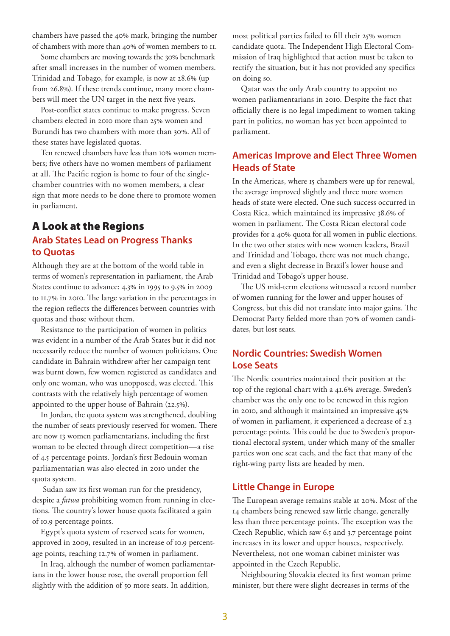chambers have passed the 40% mark, bringing the number of chambers with more than 40% of women members to 11.

Some chambers are moving towards the 30% benchmark after small increases in the number of women members. Trinidad and Tobago, for example, is now at 28.6% (up from 26.8%). If these trends continue, many more chambers will meet the UN target in the next five years.

Post-conflict states continue to make progress. Seven chambers elected in 2010 more than 25% women and Burundi has two chambers with more than 30%. All of these states have legislated quotas.

Ten renewed chambers have less than 10% women members; five others have no women members of parliament at all. The Pacific region is home to four of the singlechamber countries with no women members, a clear sign that more needs to be done there to promote women in parliament.

## A Look at the Regions **Arab States Lead on Progress Thanks to Quotas**

Although they are at the bottom of the world table in terms of women's representation in parliament, the Arab States continue to advance: 4.3% in 1995 to 9.5% in 2009 to 11.7% in 2010. The large variation in the percentages in the region reflects the differences between countries with quotas and those without them.

Resistance to the participation of women in politics was evident in a number of the Arab States but it did not necessarily reduce the number of women politicians. One candidate in Bahrain withdrew after her campaign tent was burnt down, few women registered as candidates and only one woman, who was unopposed, was elected. This contrasts with the relatively high percentage of women appointed to the upper house of Bahrain (22.5%).

In Jordan, the quota system was strengthened, doubling the number of seats previously reserved for women. There are now 13 women parliamentarians, including the first woman to be elected through direct competition—a rise of 4.5 percentage points. Jordan's first Bedouin woman parliamentarian was also elected in 2010 under the quota system.

 Sudan saw its first woman run for the presidency, despite a *fatwa* prohibiting women from running in elections. The country's lower house quota facilitated a gain of 10.9 percentage points.

Egypt's quota system of reserved seats for women, approved in 2009, resulted in an increase of 10.9 percentage points, reaching 12.7% of women in parliament.

In Iraq, although the number of women parliamentarians in the lower house rose, the overall proportion fell slightly with the addition of 50 more seats. In addition,

most political parties failed to fill their 25% women candidate quota. The Independent High Electoral Commission of Iraq highlighted that action must be taken to rectify the situation, but it has not provided any specifics on doing so.

Qatar was the only Arab country to appoint no women parliamentarians in 2010. Despite the fact that officially there is no legal impediment to women taking part in politics, no woman has yet been appointed to parliament.

## **Americas Improve and Elect Three Women Heads of State**

In the Americas, where 15 chambers were up for renewal, the average improved slightly and three more women heads of state were elected. One such success occurred in Costa Rica, which maintained its impressive 38.6% of women in parliament. The Costa Rican electoral code provides for a 40% quota for all women in public elections. In the two other states with new women leaders, Brazil and Trinidad and Tobago, there was not much change, and even a slight decrease in Brazil's lower house and Trinidad and Tobago's upper house.

The US mid-term elections witnessed a record number of women running for the lower and upper houses of Congress, but this did not translate into major gains. The Democrat Party fielded more than 70% of women candidates, but lost seats.

## **Nordic Countries: Swedish Women Lose Seats**

The Nordic countries maintained their position at the top of the regional chart with a 41.6% average. Sweden's chamber was the only one to be renewed in this region in 2010, and although it maintained an impressive 45% of women in parliament, it experienced a decrease of 2.3 percentage points. This could be due to Sweden's proportional electoral system, under which many of the smaller parties won one seat each, and the fact that many of the right-wing party lists are headed by men.

#### **Little Change in Europe**

The European average remains stable at 20%. Most of the 14 chambers being renewed saw little change, generally less than three percentage points. The exception was the Czech Republic, which saw 6.5 and 3.7 percentage point increases in its lower and upper houses, respectively. Nevertheless, not one woman cabinet minister was appointed in the Czech Republic.

Neighbouring Slovakia elected its first woman prime minister, but there were slight decreases in terms of the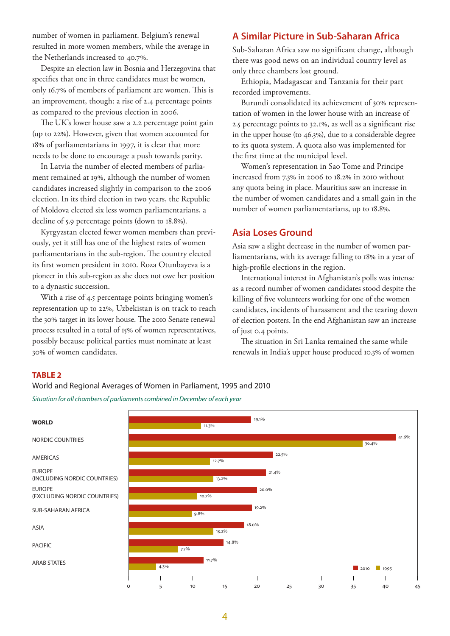number of women in parliament. Belgium's renewal resulted in more women members, while the average in the Netherlands increased to 40.7%.

Despite an election law in Bosnia and Herzegovina that specifies that one in three candidates must be women, only 16.7% of members of parliament are women. This is an improvement, though: a rise of 2.4 percentage points as compared to the previous election in 2006.

The UK's lower house saw a 2.2 percentage point gain (up to 22%). However, given that women accounted for 18% of parliamentarians in 1997, it is clear that more needs to be done to encourage a push towards parity.

In Latvia the number of elected members of parliament remained at 19%, although the number of women candidates increased slightly in comparison to the 2006 election. In its third election in two years, the Republic of Moldova elected six less women parliamentarians, a decline of 5.9 percentage points (down to 18.8%).

Kyrgyzstan elected fewer women members than previously, yet it still has one of the highest rates of women parliamentarians in the sub-region. The country elected its first women president in 2010. Roza Otunbayeva is a pioneer in this sub-region as she does not owe her position to a dynastic succession.

With a rise of 4.5 percentage points bringing women's representation up to 22%, Uzbekistan is on track to reach the 30% target in its lower house. The 2010 Senate renewal process resulted in a total of 15% of women representatives, possibly because political parties must nominate at least 30% of women candidates.

## **A Similar Picture in Sub-Saharan Africa**

Sub-Saharan Africa saw no significant change, although there was good news on an individual country level as only three chambers lost ground.

Ethiopia, Madagascar and Tanzania for their part recorded improvements.

Burundi consolidated its achievement of 30% representation of women in the lower house with an increase of 2.5 percentage points to 32.1%, as well as a significant rise in the upper house (to 46.3%), due to a considerable degree to its quota system. A quota also was implemented for the first time at the municipal level.

Women's representation in Sao Tome and Principe increased from 7.3% in 2006 to 18.2% in 2010 without any quota being in place. Mauritius saw an increase in the number of women candidates and a small gain in the number of women parliamentarians, up to 18.8%.

#### **Asia Loses Ground**

Asia saw a slight decrease in the number of women parliamentarians, with its average falling to 18% in a year of high-profile elections in the region.

International interest in Afghanistan's polls was intense as a record number of women candidates stood despite the killing of five volunteers working for one of the women candidates, incidents of harassment and the tearing down of election posters. In the end Afghanistan saw an increase of just 0.4 points.

The situation in Sri Lanka remained the same while renewals in India's upper house produced 10.3% of women

#### **TABLE 2**

World and Regional Averages of Women in Parliament, 1995 and 2010 *Situation for all chambers of parliaments combined in December of each year*

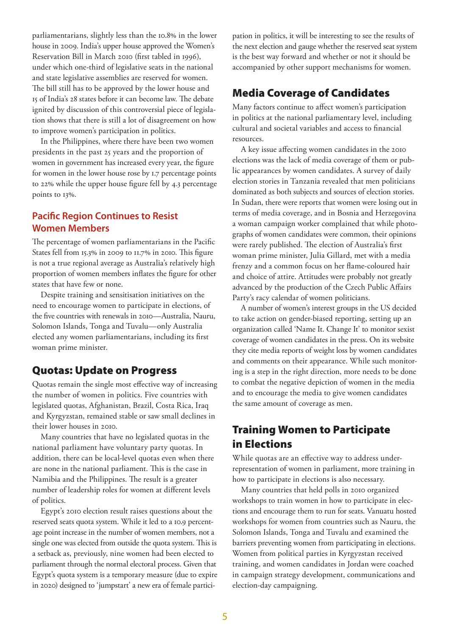parliamentarians, slightly less than the 10.8% in the lower house in 2009. India's upper house approved the Women's Reservation Bill in March 2010 (first tabled in 1996), under which one-third of legislative seats in the national and state legislative assemblies are reserved for women. The bill still has to be approved by the lower house and 15 of India's 28 states before it can become law. The debate ignited by discussion of this controversial piece of legislation shows that there is still a lot of disagreement on how to improve women's participation in politics.

In the Philippines, where there have been two women presidents in the past 25 years and the proportion of women in government has increased every year, the figure for women in the lower house rose by 1.7 percentage points to 22% while the upper house figure fell by 4.3 percentage points to 13%.

### **Pacific Region Continues to Resist Women Members**

The percentage of women parliamentarians in the Pacific States fell from 15.3% in 2009 to 11.7% in 2010. This figure is not a true regional average as Australia's relatively high proportion of women members inflates the figure for other states that have few or none.

Despite training and sensitisation initiatives on the need to encourage women to participate in elections, of the five countries with renewals in 2010—Australia, Nauru, Solomon Islands, Tonga and Tuvalu—only Australia elected any women parliamentarians, including its first woman prime minister.

## Quotas: Update on Progress

Quotas remain the single most effective way of increasing the number of women in politics. Five countries with legislated quotas, Afghanistan, Brazil, Costa Rica, Iraq and Kyrgyzstan, remained stable or saw small declines in their lower houses in 2010.

Many countries that have no legislated quotas in the national parliament have voluntary party quotas. In addition, there can be local-level quotas even when there are none in the national parliament. This is the case in Namibia and the Philippines. The result is a greater number of leadership roles for women at different levels of politics.

Egypt's 2010 election result raises questions about the reserved seats quota system. While it led to a 10.9 percentage point increase in the number of women members, not a single one was elected from outside the quota system. This is a setback as, previously, nine women had been elected to parliament through the normal electoral process. Given that Egypt's quota system is a temporary measure (due to expire in 2020) designed to 'jumpstart' a new era of female participation in politics, it will be interesting to see the results of the next election and gauge whether the reserved seat system is the best way forward and whether or not it should be accompanied by other support mechanisms for women.

## Media Coverage of Candidates

Many factors continue to affect women's participation in politics at the national parliamentary level, including cultural and societal variables and access to financial resources.

A key issue affecting women candidates in the 2010 elections was the lack of media coverage of them or public appearances by women candidates. A survey of daily election stories in Tanzania revealed that men politicians dominated as both subjects and sources of election stories. In Sudan, there were reports that women were losing out in terms of media coverage, and in Bosnia and Herzegovina a woman campaign worker complained that while photographs of women candidates were common, their opinions were rarely published. The election of Australia's first woman prime minister, Julia Gillard, met with a media frenzy and a common focus on her flame-coloured hair and choice of attire. Attitudes were probably not greatly advanced by the production of the Czech Public Affairs Party's racy calendar of women politicians.

A number of women's interest groups in the US decided to take action on gender-biased reporting, setting up an organization called 'Name It. Change It' to monitor sexist coverage of women candidates in the press. On its website they cite media reports of weight loss by women candidates and comments on their appearance. While such monitoring is a step in the right direction, more needs to be done to combat the negative depiction of women in the media and to encourage the media to give women candidates the same amount of coverage as men.

# Training Women to Participate in Elections

While quotas are an effective way to address underrepresentation of women in parliament, more training in how to participate in elections is also necessary.

Many countries that held polls in 2010 organized workshops to train women in how to participate in elections and encourage them to run for seats. Vanuatu hosted workshops for women from countries such as Nauru, the Solomon Islands, Tonga and Tuvalu and examined the barriers preventing women from participating in elections. Women from political parties in Kyrgyzstan received training, and women candidates in Jordan were coached in campaign strategy development, communications and election-day campaigning.